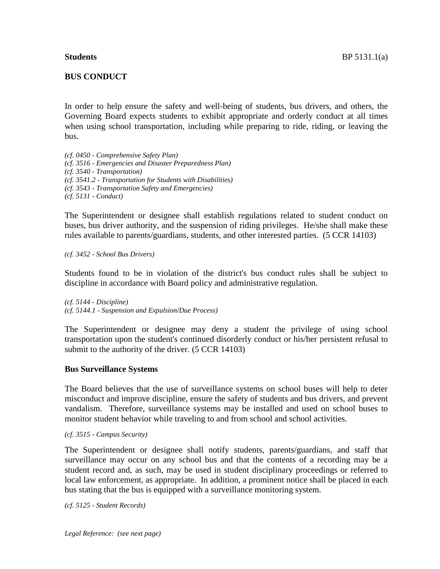# **BUS CONDUCT**

In order to help ensure the safety and well-being of students, bus drivers, and others, the Governing Board expects students to exhibit appropriate and orderly conduct at all times when using school transportation, including while preparing to ride, riding, or leaving the bus.

*(cf. 0450 - Comprehensive Safety Plan) (cf. 3516 - Emergencies and Disaster Preparedness Plan) (cf. 3540 - Transportation) (cf. 3541.2 - Transportation for Students with Disabilities) (cf. 3543 - Transportation Safety and Emergencies) (cf. 5131 - Conduct)*

The Superintendent or designee shall establish regulations related to student conduct on buses, bus driver authority, and the suspension of riding privileges. He/she shall make these rules available to parents/guardians, students, and other interested parties. (5 CCR 14103)

*(cf. 3452 - School Bus Drivers)*

Students found to be in violation of the district's bus conduct rules shall be subject to discipline in accordance with Board policy and administrative regulation.

*(cf. 5144 - Discipline) (cf. 5144.1 - Suspension and Expulsion/Due Process)*

The Superintendent or designee may deny a student the privilege of using school transportation upon the student's continued disorderly conduct or his/her persistent refusal to submit to the authority of the driver. (5 CCR 14103)

## **Bus Surveillance Systems**

The Board believes that the use of surveillance systems on school buses will help to deter misconduct and improve discipline, ensure the safety of students and bus drivers, and prevent vandalism. Therefore, surveillance systems may be installed and used on school buses to monitor student behavior while traveling to and from school and school activities.

*(cf. 3515 - Campus Security)*

The Superintendent or designee shall notify students, parents/guardians, and staff that surveillance may occur on any school bus and that the contents of a recording may be a student record and, as such, may be used in student disciplinary proceedings or referred to local law enforcement, as appropriate. In addition, a prominent notice shall be placed in each bus stating that the bus is equipped with a surveillance monitoring system.

*(cf. 5125 - Student Records)*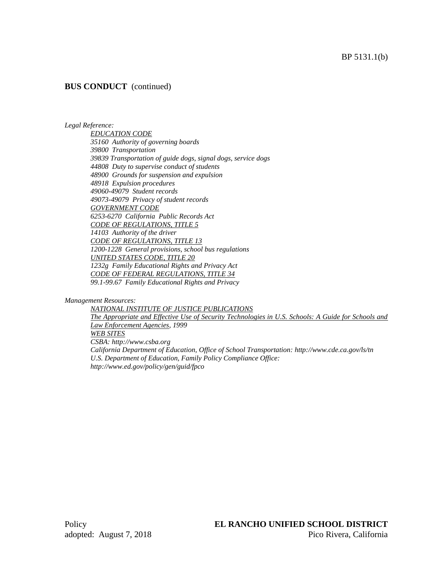## BP 5131.1(b)

# **BUS CONDUCT** (continued)

#### *Legal Reference:*

*EDUCATION CODE 35160 Authority of governing boards 39800 Transportation 39839 Transportation of guide dogs, signal dogs, service dogs 44808 Duty to supervise conduct of students 48900 Grounds for suspension and expulsion 48918 Expulsion procedures 49060-49079 Student records 49073-49079 Privacy of student records GOVERNMENT CODE 6253-6270 California Public Records Act CODE OF REGULATIONS, TITLE 5 14103 Authority of the driver CODE OF REGULATIONS, TITLE 13 1200-1228 General provisions, school bus regulations UNITED STATES CODE, TITLE 20 1232g Family Educational Rights and Privacy Act CODE OF FEDERAL REGULATIONS, TITLE 34 99.1-99.67 Family Educational Rights and Privacy*

#### *Management Resources:*

*NATIONAL INSTITUTE OF JUSTICE PUBLICATIONS The Appropriate and Effective Use of Security Technologies in U.S. Schools: A Guide for Schools and Law Enforcement Agencies, 1999 WEB SITES CSBA: http://www.csba.org California Department of Education, Office of School Transportation: http://www.cde.ca.gov/ls/tn U.S. Department of Education, Family Policy Compliance Office: http://www.ed.gov/policy/gen/guid/fpco*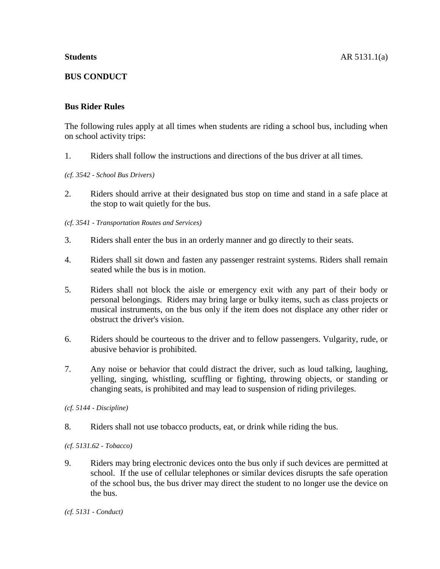# **BUS CONDUCT**

# **Bus Rider Rules**

The following rules apply at all times when students are riding a school bus, including when on school activity trips:

1. Riders shall follow the instructions and directions of the bus driver at all times.

# *(cf. 3542 - School Bus Drivers)*

2. Riders should arrive at their designated bus stop on time and stand in a safe place at the stop to wait quietly for the bus.

# *(cf. 3541 - Transportation Routes and Services)*

- 3. Riders shall enter the bus in an orderly manner and go directly to their seats.
- 4. Riders shall sit down and fasten any passenger restraint systems. Riders shall remain seated while the bus is in motion.
- 5. Riders shall not block the aisle or emergency exit with any part of their body or personal belongings. Riders may bring large or bulky items, such as class projects or musical instruments, on the bus only if the item does not displace any other rider or obstruct the driver's vision.
- 6. Riders should be courteous to the driver and to fellow passengers. Vulgarity, rude, or abusive behavior is prohibited.
- 7. Any noise or behavior that could distract the driver, such as loud talking, laughing, yelling, singing, whistling, scuffling or fighting, throwing objects, or standing or changing seats, is prohibited and may lead to suspension of riding privileges.
- *(cf. 5144 - Discipline)*
- 8. Riders shall not use tobacco products, eat, or drink while riding the bus.
- *(cf. 5131.62 - Tobacco)*
- 9. Riders may bring electronic devices onto the bus only if such devices are permitted at school. If the use of cellular telephones or similar devices disrupts the safe operation of the school bus, the bus driver may direct the student to no longer use the device on the bus.

*(cf. 5131 - Conduct)*